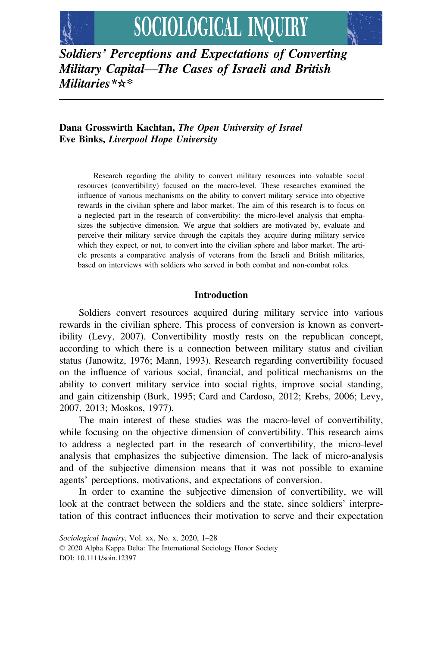Soldiers' Perceptions and Expectations of Converting Military Capital—The Cases of Israeli and British Militaries<sup>\*</sup>☆\*

# Dana Grosswirth Kachtan, The Open University of Israel Eve Binks, Liverpool Hope University

Research regarding the ability to convert military resources into valuable social resources (convertibility) focused on the macro-level. These researches examined the influence of various mechanisms on the ability to convert military service into objective rewards in the civilian sphere and labor market. The aim of this research is to focus on a neglected part in the research of convertibility: the micro-level analysis that emphasizes the subjective dimension. We argue that soldiers are motivated by, evaluate and perceive their military service through the capitals they acquire during military service which they expect, or not, to convert into the civilian sphere and labor market. The article presents a comparative analysis of veterans from the Israeli and British militaries, based on interviews with soldiers who served in both combat and non-combat roles.

# Introduction

Soldiers convert resources acquired during military service into various rewards in the civilian sphere. This process of conversion is known as convertibility (Levy, 2007). Convertibility mostly rests on the republican concept, according to which there is a connection between military status and civilian status (Janowitz, 1976; Mann, 1993). Research regarding convertibility focused on the influence of various social, financial, and political mechanisms on the ability to convert military service into social rights, improve social standing, and gain citizenship (Burk, 1995; Card and Cardoso, 2012; Krebs, 2006; Levy, 2007, 2013; Moskos, 1977).

The main interest of these studies was the macro-level of convertibility, while focusing on the objective dimension of convertibility. This research aims to address a neglected part in the research of convertibility, the micro-level analysis that emphasizes the subjective dimension. The lack of micro-analysis and of the subjective dimension means that it was not possible to examine agents' perceptions, motivations, and expectations of conversion.

In order to examine the subjective dimension of convertibility, we will look at the contract between the soldiers and the state, since soldiers' interpretation of this contract influences their motivation to serve and their expectation

Sociological Inquiry, Vol. xx, No. x, 2020, 1–28 © 2020 Alpha Kappa Delta: The International Sociology Honor Society DOI: 10.1111/soin.12397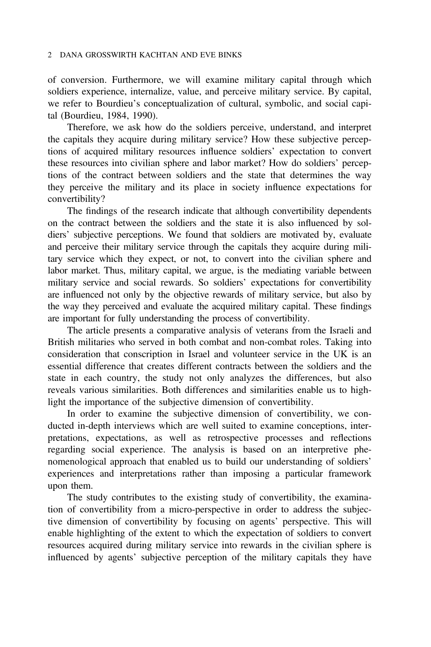of conversion. Furthermore, we will examine military capital through which soldiers experience, internalize, value, and perceive military service. By capital, we refer to Bourdieu's conceptualization of cultural, symbolic, and social capital (Bourdieu, 1984, 1990).

Therefore, we ask how do the soldiers perceive, understand, and interpret the capitals they acquire during military service? How these subjective perceptions of acquired military resources influence soldiers' expectation to convert these resources into civilian sphere and labor market? How do soldiers' perceptions of the contract between soldiers and the state that determines the way they perceive the military and its place in society influence expectations for convertibility?

The findings of the research indicate that although convertibility dependents on the contract between the soldiers and the state it is also influenced by soldiers' subjective perceptions. We found that soldiers are motivated by, evaluate and perceive their military service through the capitals they acquire during military service which they expect, or not, to convert into the civilian sphere and labor market. Thus, military capital, we argue, is the mediating variable between military service and social rewards. So soldiers' expectations for convertibility are influenced not only by the objective rewards of military service, but also by the way they perceived and evaluate the acquired military capital. These findings are important for fully understanding the process of convertibility.

The article presents a comparative analysis of veterans from the Israeli and British militaries who served in both combat and non-combat roles. Taking into consideration that conscription in Israel and volunteer service in the UK is an essential difference that creates different contracts between the soldiers and the state in each country, the study not only analyzes the differences, but also reveals various similarities. Both differences and similarities enable us to highlight the importance of the subjective dimension of convertibility.

In order to examine the subjective dimension of convertibility, we conducted in-depth interviews which are well suited to examine conceptions, interpretations, expectations, as well as retrospective processes and reflections regarding social experience. The analysis is based on an interpretive phenomenological approach that enabled us to build our understanding of soldiers' experiences and interpretations rather than imposing a particular framework upon them.

The study contributes to the existing study of convertibility, the examination of convertibility from a micro-perspective in order to address the subjective dimension of convertibility by focusing on agents' perspective. This will enable highlighting of the extent to which the expectation of soldiers to convert resources acquired during military service into rewards in the civilian sphere is influenced by agents' subjective perception of the military capitals they have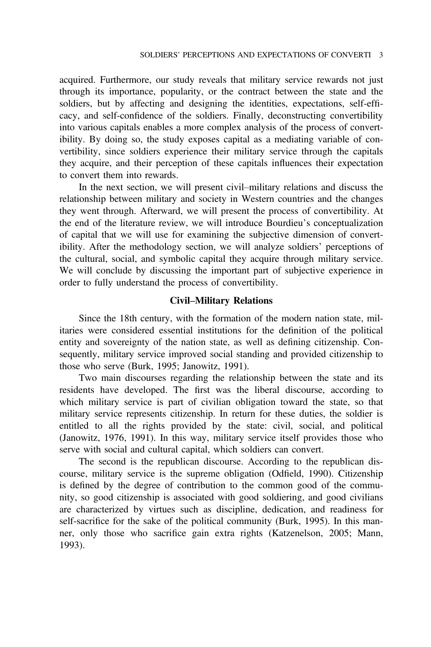acquired. Furthermore, our study reveals that military service rewards not just through its importance, popularity, or the contract between the state and the soldiers, but by affecting and designing the identities, expectations, self-efficacy, and self-confidence of the soldiers. Finally, deconstructing convertibility into various capitals enables a more complex analysis of the process of convertibility. By doing so, the study exposes capital as a mediating variable of convertibility, since soldiers experience their military service through the capitals they acquire, and their perception of these capitals influences their expectation to convert them into rewards.

In the next section, we will present civil–military relations and discuss the relationship between military and society in Western countries and the changes they went through. Afterward, we will present the process of convertibility. At the end of the literature review, we will introduce Bourdieu's conceptualization of capital that we will use for examining the subjective dimension of convertibility. After the methodology section, we will analyze soldiers' perceptions of the cultural, social, and symbolic capital they acquire through military service. We will conclude by discussing the important part of subjective experience in order to fully understand the process of convertibility.

## Civil–Military Relations

Since the 18th century, with the formation of the modern nation state, militaries were considered essential institutions for the definition of the political entity and sovereignty of the nation state, as well as defining citizenship. Consequently, military service improved social standing and provided citizenship to those who serve (Burk, 1995; Janowitz, 1991).

Two main discourses regarding the relationship between the state and its residents have developed. The first was the liberal discourse, according to which military service is part of civilian obligation toward the state, so that military service represents citizenship. In return for these duties, the soldier is entitled to all the rights provided by the state: civil, social, and political (Janowitz, 1976, 1991). In this way, military service itself provides those who serve with social and cultural capital, which soldiers can convert.

The second is the republican discourse. According to the republican discourse, military service is the supreme obligation (Odfield, 1990). Citizenship is defined by the degree of contribution to the common good of the community, so good citizenship is associated with good soldiering, and good civilians are characterized by virtues such as discipline, dedication, and readiness for self-sacrifice for the sake of the political community (Burk, 1995). In this manner, only those who sacrifice gain extra rights (Katzenelson, 2005; Mann, 1993).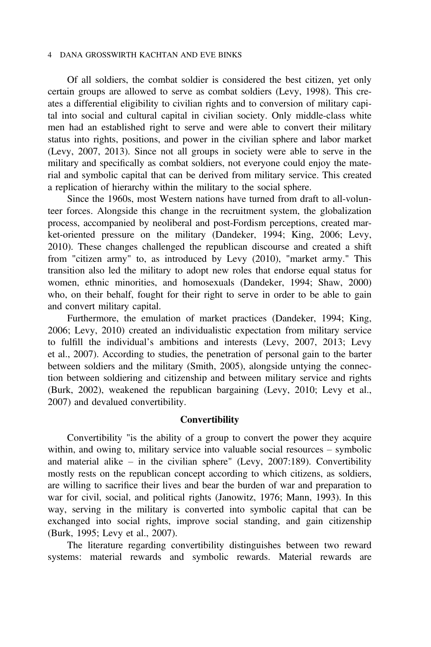Of all soldiers, the combat soldier is considered the best citizen, yet only certain groups are allowed to serve as combat soldiers (Levy, 1998). This creates a differential eligibility to civilian rights and to conversion of military capital into social and cultural capital in civilian society. Only middle-class white men had an established right to serve and were able to convert their military status into rights, positions, and power in the civilian sphere and labor market (Levy, 2007, 2013). Since not all groups in society were able to serve in the military and specifically as combat soldiers, not everyone could enjoy the material and symbolic capital that can be derived from military service. This created a replication of hierarchy within the military to the social sphere.

Since the 1960s, most Western nations have turned from draft to all-volunteer forces. Alongside this change in the recruitment system, the globalization process, accompanied by neoliberal and post-Fordism perceptions, created market-oriented pressure on the military (Dandeker, 1994; King, 2006; Levy, 2010). These changes challenged the republican discourse and created a shift from "citizen army" to, as introduced by Levy (2010), "market army." This transition also led the military to adopt new roles that endorse equal status for women, ethnic minorities, and homosexuals (Dandeker, 1994; Shaw, 2000) who, on their behalf, fought for their right to serve in order to be able to gain and convert military capital.

Furthermore, the emulation of market practices (Dandeker, 1994; King, 2006; Levy, 2010) created an individualistic expectation from military service to fulfill the individual's ambitions and interests (Levy, 2007, 2013; Levy et al., 2007). According to studies, the penetration of personal gain to the barter between soldiers and the military (Smith, 2005), alongside untying the connection between soldiering and citizenship and between military service and rights (Burk, 2002), weakened the republican bargaining (Levy, 2010; Levy et al., 2007) and devalued convertibility.

## **Convertibility**

Convertibility "is the ability of a group to convert the power they acquire within, and owing to, military service into valuable social resources – symbolic and material alike – in the civilian sphere" (Levy, 2007:189). Convertibility mostly rests on the republican concept according to which citizens, as soldiers, are willing to sacrifice their lives and bear the burden of war and preparation to war for civil, social, and political rights (Janowitz, 1976; Mann, 1993). In this way, serving in the military is converted into symbolic capital that can be exchanged into social rights, improve social standing, and gain citizenship (Burk, 1995; Levy et al., 2007).

The literature regarding convertibility distinguishes between two reward systems: material rewards and symbolic rewards. Material rewards are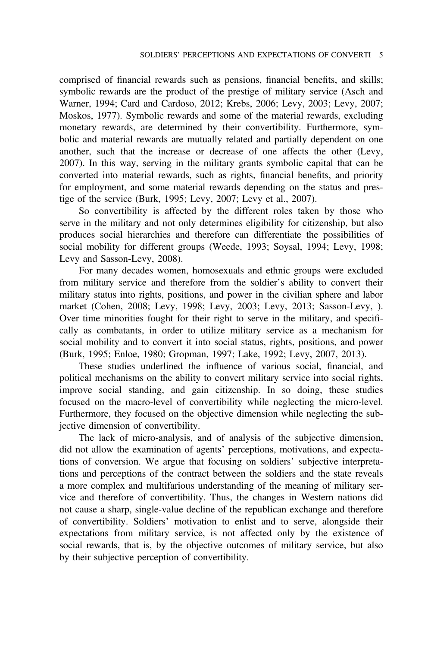comprised of financial rewards such as pensions, financial benefits, and skills; symbolic rewards are the product of the prestige of military service (Asch and Warner, 1994; Card and Cardoso, 2012; Krebs, 2006; Levy, 2003; Levy, 2007; Moskos, 1977). Symbolic rewards and some of the material rewards, excluding monetary rewards, are determined by their convertibility. Furthermore, symbolic and material rewards are mutually related and partially dependent on one another, such that the increase or decrease of one affects the other (Levy, 2007). In this way, serving in the military grants symbolic capital that can be converted into material rewards, such as rights, financial benefits, and priority for employment, and some material rewards depending on the status and prestige of the service (Burk, 1995; Levy, 2007; Levy et al., 2007).

So convertibility is affected by the different roles taken by those who serve in the military and not only determines eligibility for citizenship, but also produces social hierarchies and therefore can differentiate the possibilities of social mobility for different groups (Weede, 1993; Soysal, 1994; Levy, 1998; Levy and Sasson-Levy, 2008).

For many decades women, homosexuals and ethnic groups were excluded from military service and therefore from the soldier's ability to convert their military status into rights, positions, and power in the civilian sphere and labor market (Cohen, 2008; Levy, 1998; Levy, 2003; Levy, 2013; Sasson-Levy, ). Over time minorities fought for their right to serve in the military, and specifically as combatants, in order to utilize military service as a mechanism for social mobility and to convert it into social status, rights, positions, and power (Burk, 1995; Enloe, 1980; Gropman, 1997; Lake, 1992; Levy, 2007, 2013).

These studies underlined the influence of various social, financial, and political mechanisms on the ability to convert military service into social rights, improve social standing, and gain citizenship. In so doing, these studies focused on the macro-level of convertibility while neglecting the micro-level. Furthermore, they focused on the objective dimension while neglecting the subjective dimension of convertibility.

The lack of micro-analysis, and of analysis of the subjective dimension, did not allow the examination of agents' perceptions, motivations, and expectations of conversion. We argue that focusing on soldiers' subjective interpretations and perceptions of the contract between the soldiers and the state reveals a more complex and multifarious understanding of the meaning of military service and therefore of convertibility. Thus, the changes in Western nations did not cause a sharp, single-value decline of the republican exchange and therefore of convertibility. Soldiers' motivation to enlist and to serve, alongside their expectations from military service, is not affected only by the existence of social rewards, that is, by the objective outcomes of military service, but also by their subjective perception of convertibility.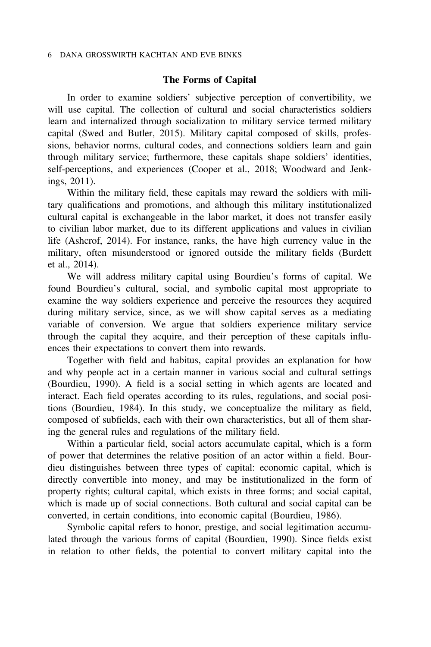### The Forms of Capital

In order to examine soldiers' subjective perception of convertibility, we will use capital. The collection of cultural and social characteristics soldiers learn and internalized through socialization to military service termed military capital (Swed and Butler, 2015). Military capital composed of skills, professions, behavior norms, cultural codes, and connections soldiers learn and gain through military service; furthermore, these capitals shape soldiers' identities, self-perceptions, and experiences (Cooper et al., 2018; Woodward and Jenkings, 2011).

Within the military field, these capitals may reward the soldiers with military qualifications and promotions, and although this military institutionalized cultural capital is exchangeable in the labor market, it does not transfer easily to civilian labor market, due to its different applications and values in civilian life (Ashcrof, 2014). For instance, ranks, the have high currency value in the military, often misunderstood or ignored outside the military fields (Burdett et al., 2014).

We will address military capital using Bourdieu's forms of capital. We found Bourdieu's cultural, social, and symbolic capital most appropriate to examine the way soldiers experience and perceive the resources they acquired during military service, since, as we will show capital serves as a mediating variable of conversion. We argue that soldiers experience military service through the capital they acquire, and their perception of these capitals influences their expectations to convert them into rewards.

Together with field and habitus, capital provides an explanation for how and why people act in a certain manner in various social and cultural settings (Bourdieu, 1990). A field is a social setting in which agents are located and interact. Each field operates according to its rules, regulations, and social positions (Bourdieu, 1984). In this study, we conceptualize the military as field, composed of subfields, each with their own characteristics, but all of them sharing the general rules and regulations of the military field.

Within a particular field, social actors accumulate capital, which is a form of power that determines the relative position of an actor within a field. Bourdieu distinguishes between three types of capital: economic capital, which is directly convertible into money, and may be institutionalized in the form of property rights; cultural capital, which exists in three forms; and social capital, which is made up of social connections. Both cultural and social capital can be converted, in certain conditions, into economic capital (Bourdieu, 1986).

Symbolic capital refers to honor, prestige, and social legitimation accumulated through the various forms of capital (Bourdieu, 1990). Since fields exist in relation to other fields, the potential to convert military capital into the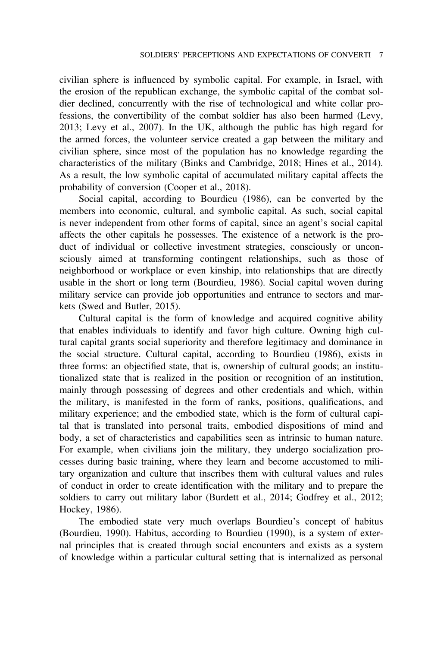civilian sphere is influenced by symbolic capital. For example, in Israel, with the erosion of the republican exchange, the symbolic capital of the combat soldier declined, concurrently with the rise of technological and white collar professions, the convertibility of the combat soldier has also been harmed (Levy, 2013; Levy et al., 2007). In the UK, although the public has high regard for the armed forces, the volunteer service created a gap between the military and civilian sphere, since most of the population has no knowledge regarding the characteristics of the military (Binks and Cambridge, 2018; Hines et al., 2014). As a result, the low symbolic capital of accumulated military capital affects the probability of conversion (Cooper et al., 2018).

Social capital, according to Bourdieu (1986), can be converted by the members into economic, cultural, and symbolic capital. As such, social capital is never independent from other forms of capital, since an agent's social capital affects the other capitals he possesses. The existence of a network is the product of individual or collective investment strategies, consciously or unconsciously aimed at transforming contingent relationships, such as those of neighborhood or workplace or even kinship, into relationships that are directly usable in the short or long term (Bourdieu, 1986). Social capital woven during military service can provide job opportunities and entrance to sectors and markets (Swed and Butler, 2015).

Cultural capital is the form of knowledge and acquired cognitive ability that enables individuals to identify and favor high culture. Owning high cultural capital grants social superiority and therefore legitimacy and dominance in the social structure. Cultural capital, according to Bourdieu (1986), exists in three forms: an objectified state, that is, ownership of cultural goods; an institutionalized state that is realized in the position or recognition of an institution, mainly through possessing of degrees and other credentials and which, within the military, is manifested in the form of ranks, positions, qualifications, and military experience; and the embodied state, which is the form of cultural capital that is translated into personal traits, embodied dispositions of mind and body, a set of characteristics and capabilities seen as intrinsic to human nature. For example, when civilians join the military, they undergo socialization processes during basic training, where they learn and become accustomed to military organization and culture that inscribes them with cultural values and rules of conduct in order to create identification with the military and to prepare the soldiers to carry out military labor (Burdett et al., 2014; Godfrey et al., 2012; Hockey, 1986).

The embodied state very much overlaps Bourdieu's concept of habitus (Bourdieu, 1990). Habitus, according to Bourdieu (1990), is a system of external principles that is created through social encounters and exists as a system of knowledge within a particular cultural setting that is internalized as personal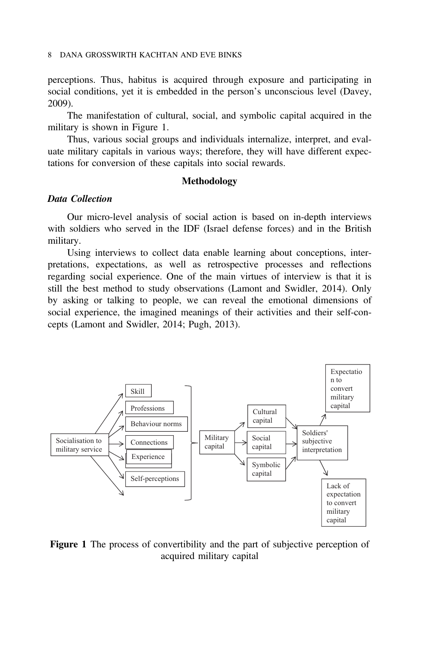perceptions. Thus, habitus is acquired through exposure and participating in social conditions, yet it is embedded in the person's unconscious level (Davey, 2009).

The manifestation of cultural, social, and symbolic capital acquired in the military is shown in Figure 1.

Thus, various social groups and individuals internalize, interpret, and evaluate military capitals in various ways; therefore, they will have different expectations for conversion of these capitals into social rewards.

### Methodology

## Data Collection

Our micro-level analysis of social action is based on in-depth interviews with soldiers who served in the IDF (Israel defense forces) and in the British military.

Using interviews to collect data enable learning about conceptions, interpretations, expectations, as well as retrospective processes and reflections regarding social experience. One of the main virtues of interview is that it is still the best method to study observations (Lamont and Swidler, 2014). Only by asking or talking to people, we can reveal the emotional dimensions of social experience, the imagined meanings of their activities and their self-concepts (Lamont and Swidler, 2014; Pugh, 2013).



Figure 1 The process of convertibility and the part of subjective perception of acquired military capital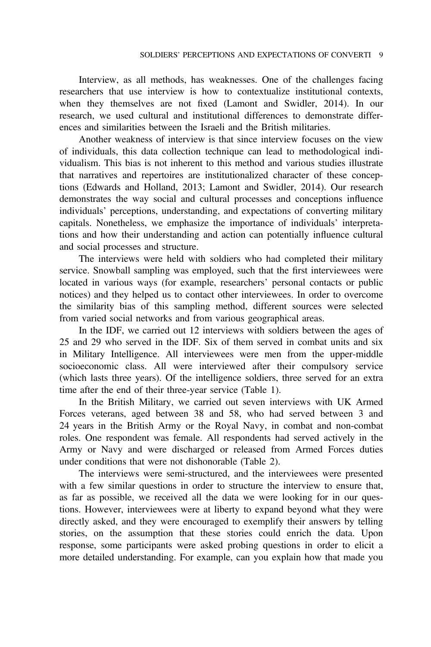Interview, as all methods, has weaknesses. One of the challenges facing researchers that use interview is how to contextualize institutional contexts, when they themselves are not fixed (Lamont and Swidler, 2014). In our research, we used cultural and institutional differences to demonstrate differences and similarities between the Israeli and the British militaries.

Another weakness of interview is that since interview focuses on the view of individuals, this data collection technique can lead to methodological individualism. This bias is not inherent to this method and various studies illustrate that narratives and repertoires are institutionalized character of these conceptions (Edwards and Holland, 2013; Lamont and Swidler, 2014). Our research demonstrates the way social and cultural processes and conceptions influence individuals' perceptions, understanding, and expectations of converting military capitals. Nonetheless, we emphasize the importance of individuals' interpretations and how their understanding and action can potentially influence cultural and social processes and structure.

The interviews were held with soldiers who had completed their military service. Snowball sampling was employed, such that the first interviewees were located in various ways (for example, researchers' personal contacts or public notices) and they helped us to contact other interviewees. In order to overcome the similarity bias of this sampling method, different sources were selected from varied social networks and from various geographical areas.

In the IDF, we carried out 12 interviews with soldiers between the ages of 25 and 29 who served in the IDF. Six of them served in combat units and six in Military Intelligence. All interviewees were men from the upper-middle socioeconomic class. All were interviewed after their compulsory service (which lasts three years). Of the intelligence soldiers, three served for an extra time after the end of their three-year service (Table 1).

In the British Military, we carried out seven interviews with UK Armed Forces veterans, aged between 38 and 58, who had served between 3 and 24 years in the British Army or the Royal Navy, in combat and non-combat roles. One respondent was female. All respondents had served actively in the Army or Navy and were discharged or released from Armed Forces duties under conditions that were not dishonorable (Table 2).

The interviews were semi-structured, and the interviewees were presented with a few similar questions in order to structure the interview to ensure that, as far as possible, we received all the data we were looking for in our questions. However, interviewees were at liberty to expand beyond what they were directly asked, and they were encouraged to exemplify their answers by telling stories, on the assumption that these stories could enrich the data. Upon response, some participants were asked probing questions in order to elicit a more detailed understanding. For example, can you explain how that made you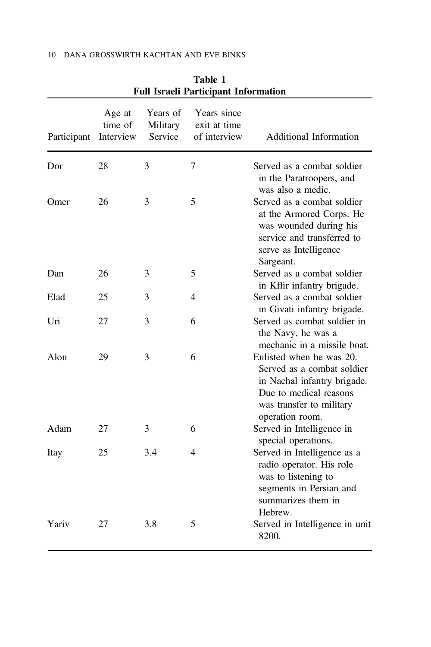| Table 1<br><b>Full Israeli Participant Information</b> |                                |                                 |                                             |                                                                                                                                                                |
|--------------------------------------------------------|--------------------------------|---------------------------------|---------------------------------------------|----------------------------------------------------------------------------------------------------------------------------------------------------------------|
| Participant                                            | Age at<br>time of<br>Interview | Years of<br>Military<br>Service | Years since<br>exit at time<br>of interview | <b>Additional Information</b>                                                                                                                                  |
| Dor                                                    | 28                             | 3                               | 7                                           | Served as a combat soldier<br>in the Paratroopers, and<br>was also a medic.                                                                                    |
| Omer                                                   | 26                             | 3                               | 5                                           | Served as a combat soldier<br>at the Armored Corps. He<br>was wounded during his<br>service and transferred to<br>serve as Intelligence<br>Sargeant.           |
| Dan                                                    | 26                             | 3                               | 5                                           | Served as a combat soldier<br>in Kffir infantry brigade.                                                                                                       |
| Elad                                                   | 25                             | 3                               | 4                                           | Served as a combat soldier<br>in Givati infantry brigade.                                                                                                      |
| Uri                                                    | 27                             | 3                               | 6                                           | Served as combat soldier in<br>the Navy, he was a<br>mechanic in a missile boat.                                                                               |
| Alon                                                   | 29                             | 3                               | 6                                           | Enlisted when he was 20.<br>Served as a combat soldier<br>in Nachal infantry brigade.<br>Due to medical reasons<br>was transfer to military<br>operation room. |
| Adam                                                   | 27                             | 3                               | 6                                           | Served in Intelligence in<br>special operations.                                                                                                               |
| Itay                                                   | 25                             | 3.4                             | 4                                           | Served in Intelligence as a<br>radio operator. His role<br>was to listening to<br>segments in Persian and<br>summarizes them in<br>Hebrew.                     |
| Yariv                                                  | 27                             | 3.8                             | 5                                           | Served in Intelligence in unit<br>8200.                                                                                                                        |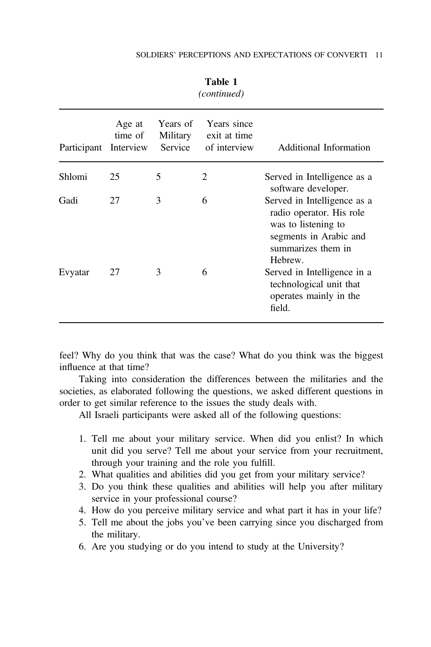| Participant Interview | Age at<br>time of | Years of<br>Military<br>Service | Years since<br>exit at time<br>of interview | Additional Information                                                                                                                    |
|-----------------------|-------------------|---------------------------------|---------------------------------------------|-------------------------------------------------------------------------------------------------------------------------------------------|
| Shlomi                | 25                | 5                               | 2                                           | Served in Intelligence as a<br>software developer.                                                                                        |
| Gadi                  | 27                | 3                               | 6                                           | Served in Intelligence as a<br>radio operator. His role<br>was to listening to<br>segments in Arabic and<br>summarizes them in<br>Hebrew. |
| Evyatar               | 27                | 3                               | 6                                           | Served in Intelligence in a<br>technological unit that<br>operates mainly in the<br>field.                                                |

Table 1 (continued)

feel? Why do you think that was the case? What do you think was the biggest influence at that time?

Taking into consideration the differences between the militaries and the societies, as elaborated following the questions, we asked different questions in order to get similar reference to the issues the study deals with.

All Israeli participants were asked all of the following questions:

- 1. Tell me about your military service. When did you enlist? In which unit did you serve? Tell me about your service from your recruitment, through your training and the role you fulfill.
- 2. What qualities and abilities did you get from your military service?
- 3. Do you think these qualities and abilities will help you after military service in your professional course?
- 4. How do you perceive military service and what part it has in your life?
- 5. Tell me about the jobs you've been carrying since you discharged from the military.
- 6. Are you studying or do you intend to study at the University?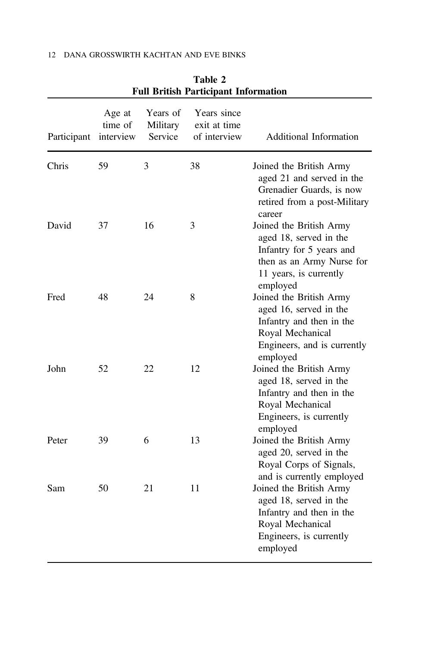| Table 2<br><b>Full British Participant Information</b> |                                |                                 |                                             |                                                                                                                                                  |
|--------------------------------------------------------|--------------------------------|---------------------------------|---------------------------------------------|--------------------------------------------------------------------------------------------------------------------------------------------------|
| Participant                                            | Age at<br>time of<br>interview | Years of<br>Military<br>Service | Years since<br>exit at time<br>of interview | Additional Information                                                                                                                           |
| Chris                                                  | 59                             | 3                               | 38                                          | Joined the British Army<br>aged 21 and served in the<br>Grenadier Guards, is now<br>retired from a post-Military<br>career                       |
| David                                                  | 37                             | 16                              | 3                                           | Joined the British Army<br>aged 18, served in the<br>Infantry for 5 years and<br>then as an Army Nurse for<br>11 years, is currently<br>employed |
| Fred                                                   | 48                             | 24                              | 8                                           | Joined the British Army<br>aged 16, served in the<br>Infantry and then in the<br>Royal Mechanical<br>Engineers, and is currently<br>employed     |
| John                                                   | 52                             | 22                              | 12                                          | Joined the British Army<br>aged 18, served in the<br>Infantry and then in the<br>Royal Mechanical<br>Engineers, is currently<br>employed         |
| Peter                                                  | 39                             | 6                               | 13                                          | Joined the British Army<br>aged 20, served in the<br>Royal Corps of Signals,<br>and is currently employed                                        |
| Sam                                                    | 50                             | 21                              | 11                                          | Joined the British Army<br>aged 18, served in the<br>Infantry and then in the<br>Royal Mechanical<br>Engineers, is currently<br>employed         |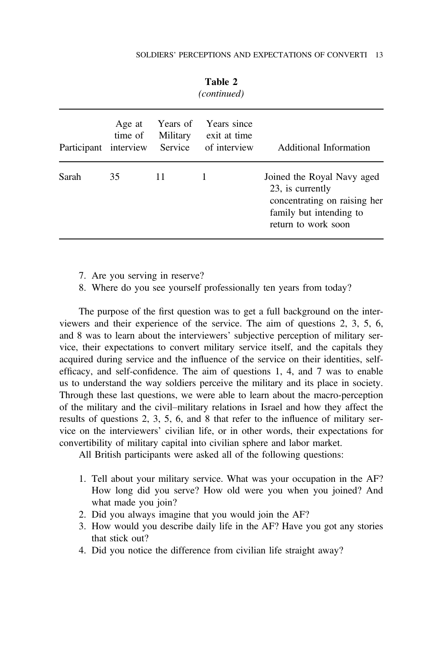| Participant interview | Age at<br>time of | Years of<br>Military<br>Service | Years since<br>exit at time<br>of interview | Additional Information                                                                                                           |
|-----------------------|-------------------|---------------------------------|---------------------------------------------|----------------------------------------------------------------------------------------------------------------------------------|
| Sarah                 | 35                | 11                              |                                             | Joined the Royal Navy aged<br>23, is currently<br>concentrating on raising her<br>family but intending to<br>return to work soon |

Table 2 (continued)

7. Are you serving in reserve?

8. Where do you see yourself professionally ten years from today?

The purpose of the first question was to get a full background on the interviewers and their experience of the service. The aim of questions 2, 3, 5, 6, and 8 was to learn about the interviewers' subjective perception of military service, their expectations to convert military service itself, and the capitals they acquired during service and the influence of the service on their identities, selfefficacy, and self-confidence. The aim of questions 1, 4, and 7 was to enable us to understand the way soldiers perceive the military and its place in society. Through these last questions, we were able to learn about the macro-perception of the military and the civil–military relations in Israel and how they affect the results of questions 2, 3, 5, 6, and 8 that refer to the influence of military service on the interviewers' civilian life, or in other words, their expectations for convertibility of military capital into civilian sphere and labor market.

All British participants were asked all of the following questions:

- 1. Tell about your military service. What was your occupation in the AF? How long did you serve? How old were you when you joined? And what made you join?
- 2. Did you always imagine that you would join the AF?
- 3. How would you describe daily life in the AF? Have you got any stories that stick out?
- 4. Did you notice the difference from civilian life straight away?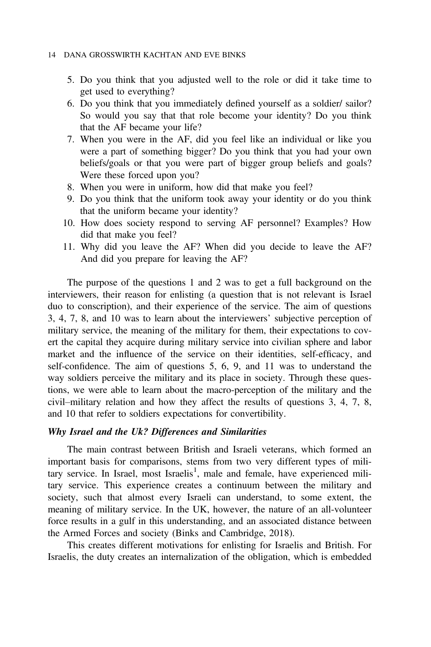- 5. Do you think that you adjusted well to the role or did it take time to get used to everything?
- 6. Do you think that you immediately defined yourself as a soldier/ sailor? So would you say that that role become your identity? Do you think that the AF became your life?
- 7. When you were in the AF, did you feel like an individual or like you were a part of something bigger? Do you think that you had your own beliefs/goals or that you were part of bigger group beliefs and goals? Were these forced upon you?
- 8. When you were in uniform, how did that make you feel?
- 9. Do you think that the uniform took away your identity or do you think that the uniform became your identity?
- 10. How does society respond to serving AF personnel? Examples? How did that make you feel?
- 11. Why did you leave the AF? When did you decide to leave the AF? And did you prepare for leaving the AF?

The purpose of the questions 1 and 2 was to get a full background on the interviewers, their reason for enlisting (a question that is not relevant is Israel duo to conscription), and their experience of the service. The aim of questions 3, 4, 7, 8, and 10 was to learn about the interviewers' subjective perception of military service, the meaning of the military for them, their expectations to covert the capital they acquire during military service into civilian sphere and labor market and the influence of the service on their identities, self-efficacy, and self-confidence. The aim of questions 5, 6, 9, and 11 was to understand the way soldiers perceive the military and its place in society. Through these questions, we were able to learn about the macro-perception of the military and the civil–military relation and how they affect the results of questions 3, 4, 7, 8, and 10 that refer to soldiers expectations for convertibility.

# Why Israel and the Uk? Differences and Similarities

The main contrast between British and Israeli veterans, which formed an important basis for comparisons, stems from two very different types of military service. In Israel, most Israelis<sup>1</sup>, male and female, have experienced military service. This experience creates a continuum between the military and society, such that almost every Israeli can understand, to some extent, the meaning of military service. In the UK, however, the nature of an all-volunteer force results in a gulf in this understanding, and an associated distance between the Armed Forces and society (Binks and Cambridge, 2018).

This creates different motivations for enlisting for Israelis and British. For Israelis, the duty creates an internalization of the obligation, which is embedded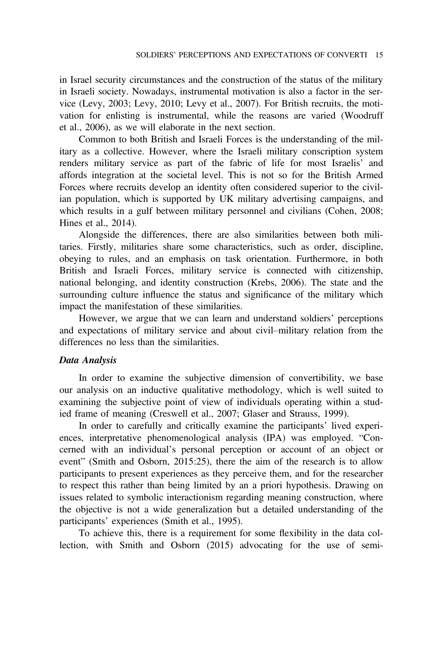in Israel security circumstances and the construction of the status of the military in Israeli society. Nowadays, instrumental motivation is also a factor in the service (Levy, 2003; Levy, 2010; Levy et al., 2007). For British recruits, the motivation for enlisting is instrumental, while the reasons are varied (Woodruff et al., 2006), as we will elaborate in the next section.

Common to both British and Israeli Forces is the understanding of the military as a collective. However, where the Israeli military conscription system renders military service as part of the fabric of life for most Israelis' and affords integration at the societal level. This is not so for the British Armed Forces where recruits develop an identity often considered superior to the civilian population, which is supported by UK military advertising campaigns, and which results in a gulf between military personnel and civilians (Cohen, 2008; Hines et al., 2014).

Alongside the differences, there are also similarities between both militaries. Firstly, militaries share some characteristics, such as order, discipline, obeying to rules, and an emphasis on task orientation. Furthermore, in both British and Israeli Forces, military service is connected with citizenship, national belonging, and identity construction (Krebs, 2006). The state and the surrounding culture influence the status and significance of the military which impact the manifestation of these similarities.

However, we argue that we can learn and understand soldiers' perceptions and expectations of military service and about civil–military relation from the differences no less than the similarities.

### Data Analysis

In order to examine the subjective dimension of convertibility, we base our analysis on an inductive qualitative methodology, which is well suited to examining the subjective point of view of individuals operating within a studied frame of meaning (Creswell et al., 2007; Glaser and Strauss, 1999).

In order to carefully and critically examine the participants' lived experiences, interpretative phenomenological analysis (IPA) was employed. "Concerned with an individual's personal perception or account of an object or event" (Smith and Osborn, 2015:25), there the aim of the research is to allow participants to present experiences as they perceive them, and for the researcher to respect this rather than being limited by an a priori hypothesis. Drawing on issues related to symbolic interactionism regarding meaning construction, where the objective is not a wide generalization but a detailed understanding of the participants' experiences (Smith et al., 1995).

To achieve this, there is a requirement for some flexibility in the data collection, with Smith and Osborn (2015) advocating for the use of semi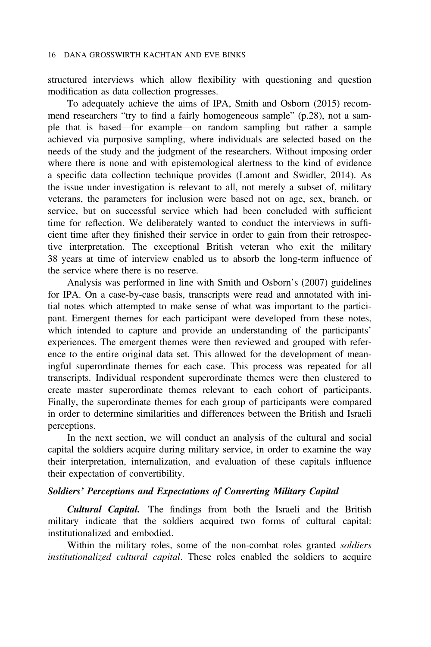structured interviews which allow flexibility with questioning and question modification as data collection progresses.

To adequately achieve the aims of IPA, Smith and Osborn (2015) recommend researchers "try to find a fairly homogeneous sample" (p.28), not a sample that is based—for example—on random sampling but rather a sample achieved via purposive sampling, where individuals are selected based on the needs of the study and the judgment of the researchers. Without imposing order where there is none and with epistemological alertness to the kind of evidence a specific data collection technique provides (Lamont and Swidler, 2014). As the issue under investigation is relevant to all, not merely a subset of, military veterans, the parameters for inclusion were based not on age, sex, branch, or service, but on successful service which had been concluded with sufficient time for reflection. We deliberately wanted to conduct the interviews in sufficient time after they finished their service in order to gain from their retrospective interpretation. The exceptional British veteran who exit the military 38 years at time of interview enabled us to absorb the long-term influence of the service where there is no reserve.

Analysis was performed in line with Smith and Osborn's (2007) guidelines for IPA. On a case-by-case basis, transcripts were read and annotated with initial notes which attempted to make sense of what was important to the participant. Emergent themes for each participant were developed from these notes, which intended to capture and provide an understanding of the participants' experiences. The emergent themes were then reviewed and grouped with reference to the entire original data set. This allowed for the development of meaningful superordinate themes for each case. This process was repeated for all transcripts. Individual respondent superordinate themes were then clustered to create master superordinate themes relevant to each cohort of participants. Finally, the superordinate themes for each group of participants were compared in order to determine similarities and differences between the British and Israeli perceptions.

In the next section, we will conduct an analysis of the cultural and social capital the soldiers acquire during military service, in order to examine the way their interpretation, internalization, and evaluation of these capitals influence their expectation of convertibility.

# Soldiers' Perceptions and Expectations of Converting Military Capital

Cultural Capital. The findings from both the Israeli and the British military indicate that the soldiers acquired two forms of cultural capital: institutionalized and embodied.

Within the military roles, some of the non-combat roles granted soldiers institutionalized cultural capital. These roles enabled the soldiers to acquire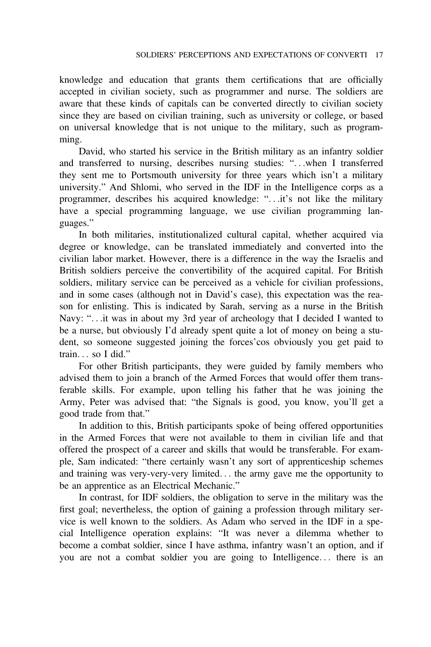knowledge and education that grants them certifications that are officially accepted in civilian society, such as programmer and nurse. The soldiers are aware that these kinds of capitals can be converted directly to civilian society since they are based on civilian training, such as university or college, or based on universal knowledge that is not unique to the military, such as programming.

David, who started his service in the British military as an infantry soldier and transferred to nursing, describes nursing studies: "...when I transferred they sent me to Portsmouth university for three years which isn't a military university." And Shlomi, who served in the IDF in the Intelligence corps as a programmer, describes his acquired knowledge: "...it's not like the military have a special programming language, we use civilian programming languages."

In both militaries, institutionalized cultural capital, whether acquired via degree or knowledge, can be translated immediately and converted into the civilian labor market. However, there is a difference in the way the Israelis and British soldiers perceive the convertibility of the acquired capital. For British soldiers, military service can be perceived as a vehicle for civilian professions, and in some cases (although not in David's case), this expectation was the reason for enlisting. This is indicated by Sarah, serving as a nurse in the British Navy: "...it was in about my 3rd year of archeology that I decided I wanted to be a nurse, but obviously I'd already spent quite a lot of money on being a student, so someone suggested joining the forces'cos obviously you get paid to train... so I did."

For other British participants, they were guided by family members who advised them to join a branch of the Armed Forces that would offer them transferable skills. For example, upon telling his father that he was joining the Army, Peter was advised that: "the Signals is good, you know, you'll get a good trade from that."

In addition to this, British participants spoke of being offered opportunities in the Armed Forces that were not available to them in civilian life and that offered the prospect of a career and skills that would be transferable. For example, Sam indicated: "there certainly wasn't any sort of apprenticeship schemes and training was very-very-very limited... the army gave me the opportunity to be an apprentice as an Electrical Mechanic."

In contrast, for IDF soldiers, the obligation to serve in the military was the first goal; nevertheless, the option of gaining a profession through military service is well known to the soldiers. As Adam who served in the IDF in a special Intelligence operation explains: "It was never a dilemma whether to become a combat soldier, since I have asthma, infantry wasn't an option, and if you are not a combat soldier you are going to Intelligence... there is an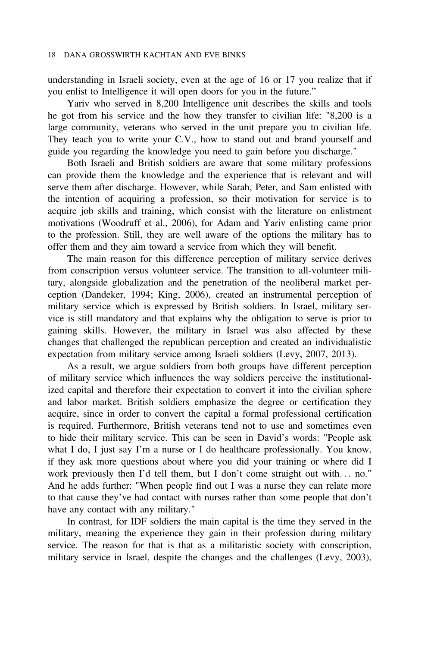understanding in Israeli society, even at the age of 16 or 17 you realize that if you enlist to Intelligence it will open doors for you in the future."

Yariv who served in 8,200 Intelligence unit describes the skills and tools he got from his service and the how they transfer to civilian life: "8,200 is a large community, veterans who served in the unit prepare you to civilian life. They teach you to write your C.V., how to stand out and brand yourself and guide you regarding the knowledge you need to gain before you discharge."

Both Israeli and British soldiers are aware that some military professions can provide them the knowledge and the experience that is relevant and will serve them after discharge. However, while Sarah, Peter, and Sam enlisted with the intention of acquiring a profession, so their motivation for service is to acquire job skills and training, which consist with the literature on enlistment motivations (Woodruff et al., 2006), for Adam and Yariv enlisting came prior to the profession. Still, they are well aware of the options the military has to offer them and they aim toward a service from which they will benefit.

The main reason for this difference perception of military service derives from conscription versus volunteer service. The transition to all-volunteer military, alongside globalization and the penetration of the neoliberal market perception (Dandeker, 1994; King, 2006), created an instrumental perception of military service which is expressed by British soldiers. In Israel, military service is still mandatory and that explains why the obligation to serve is prior to gaining skills. However, the military in Israel was also affected by these changes that challenged the republican perception and created an individualistic expectation from military service among Israeli soldiers (Levy, 2007, 2013).

As a result, we argue soldiers from both groups have different perception of military service which influences the way soldiers perceive the institutionalized capital and therefore their expectation to convert it into the civilian sphere and labor market. British soldiers emphasize the degree or certification they acquire, since in order to convert the capital a formal professional certification is required. Furthermore, British veterans tend not to use and sometimes even to hide their military service. This can be seen in David's words: "People ask what I do, I just say I'm a nurse or I do healthcare professionally. You know, if they ask more questions about where you did your training or where did I work previously then I'd tell them, but I don't come straight out with... no." And he adds further: "When people find out I was a nurse they can relate more to that cause they've had contact with nurses rather than some people that don't have any contact with any military."

In contrast, for IDF soldiers the main capital is the time they served in the military, meaning the experience they gain in their profession during military service. The reason for that is that as a militaristic society with conscription, military service in Israel, despite the changes and the challenges (Levy, 2003),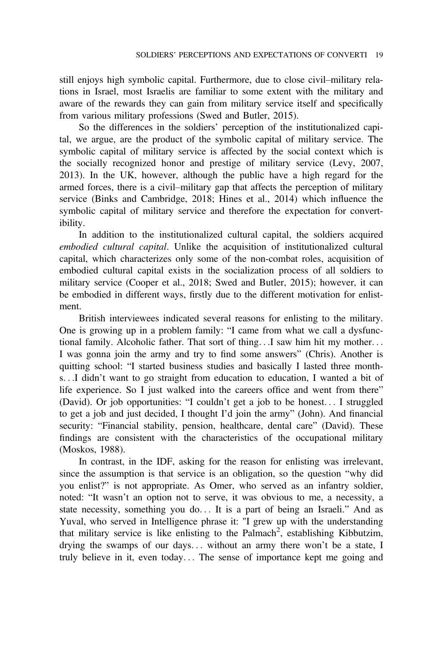still enjoys high symbolic capital. Furthermore, due to close civil–military relations in Israel, most Israelis are familiar to some extent with the military and aware of the rewards they can gain from military service itself and specifically from various military professions (Swed and Butler, 2015).

So the differences in the soldiers' perception of the institutionalized capital, we argue, are the product of the symbolic capital of military service. The symbolic capital of military service is affected by the social context which is the socially recognized honor and prestige of military service (Levy, 2007, 2013). In the UK, however, although the public have a high regard for the armed forces, there is a civil–military gap that affects the perception of military service (Binks and Cambridge, 2018; Hines et al., 2014) which influence the symbolic capital of military service and therefore the expectation for convertibility.

In addition to the institutionalized cultural capital, the soldiers acquired embodied cultural capital. Unlike the acquisition of institutionalized cultural capital, which characterizes only some of the non-combat roles, acquisition of embodied cultural capital exists in the socialization process of all soldiers to military service (Cooper et al., 2018; Swed and Butler, 2015); however, it can be embodied in different ways, firstly due to the different motivation for enlistment.

British interviewees indicated several reasons for enlisting to the military. One is growing up in a problem family: "I came from what we call a dysfunctional family. Alcoholic father. That sort of thing...I saw him hit my mother... I was gonna join the army and try to find some answers" (Chris). Another is quitting school: "I started business studies and basically I lasted three months...I didn't want to go straight from education to education, I wanted a bit of life experience. So I just walked into the careers office and went from there" (David). Or job opportunities: "I couldn't get a job to be honest... I struggled to get a job and just decided, I thought I'd join the army" (John). And financial security: "Financial stability, pension, healthcare, dental care" (David). These findings are consistent with the characteristics of the occupational military (Moskos, 1988).

In contrast, in the IDF, asking for the reason for enlisting was irrelevant, since the assumption is that service is an obligation, so the question "why did you enlist?" is not appropriate. As Omer, who served as an infantry soldier, noted: "It wasn't an option not to serve, it was obvious to me, a necessity, a state necessity, something you do... It is a part of being an Israeli." And as Yuval, who served in Intelligence phrase it: "I grew up with the understanding that military service is like enlisting to the Palmach<sup>2</sup>, establishing Kibbutzim, drying the swamps of our days... without an army there won't be a state, I truly believe in it, even today... The sense of importance kept me going and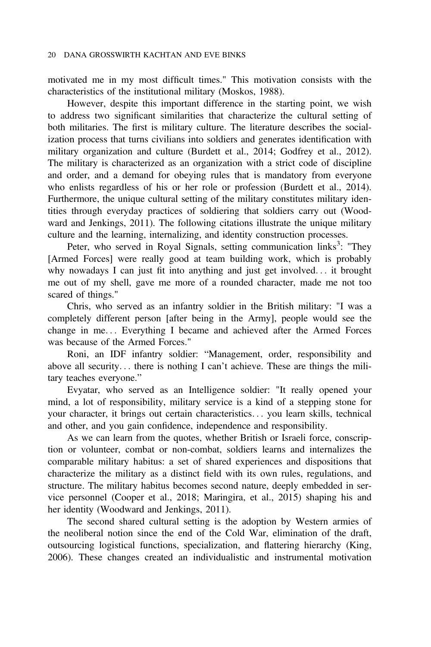motivated me in my most difficult times." This motivation consists with the characteristics of the institutional military (Moskos, 1988).

However, despite this important difference in the starting point, we wish to address two significant similarities that characterize the cultural setting of both militaries. The first is military culture. The literature describes the socialization process that turns civilians into soldiers and generates identification with military organization and culture (Burdett et al., 2014; Godfrey et al., 2012). The military is characterized as an organization with a strict code of discipline and order, and a demand for obeying rules that is mandatory from everyone who enlists regardless of his or her role or profession (Burdett et al., 2014). Furthermore, the unique cultural setting of the military constitutes military identities through everyday practices of soldiering that soldiers carry out (Woodward and Jenkings, 2011). The following citations illustrate the unique military culture and the learning, internalizing, and identity construction processes.

Peter, who served in Royal Signals, setting communication links<sup>3</sup>: "They [Armed Forces] were really good at team building work, which is probably why nowadays I can just fit into anything and just get involved... it brought me out of my shell, gave me more of a rounded character, made me not too scared of things."

Chris, who served as an infantry soldier in the British military: "I was a completely different person [after being in the Army], people would see the change in me... Everything I became and achieved after the Armed Forces was because of the Armed Forces."

Roni, an IDF infantry soldier: "Management, order, responsibility and above all security... there is nothing I can't achieve. These are things the military teaches everyone."

Evyatar, who served as an Intelligence soldier: "It really opened your mind, a lot of responsibility, military service is a kind of a stepping stone for your character, it brings out certain characteristics... you learn skills, technical and other, and you gain confidence, independence and responsibility.

As we can learn from the quotes, whether British or Israeli force, conscription or volunteer, combat or non-combat, soldiers learns and internalizes the comparable military habitus: a set of shared experiences and dispositions that characterize the military as a distinct field with its own rules, regulations, and structure. The military habitus becomes second nature, deeply embedded in service personnel (Cooper et al., 2018; Maringira, et al., 2015) shaping his and her identity (Woodward and Jenkings, 2011).

The second shared cultural setting is the adoption by Western armies of the neoliberal notion since the end of the Cold War, elimination of the draft, outsourcing logistical functions, specialization, and flattering hierarchy (King, 2006). These changes created an individualistic and instrumental motivation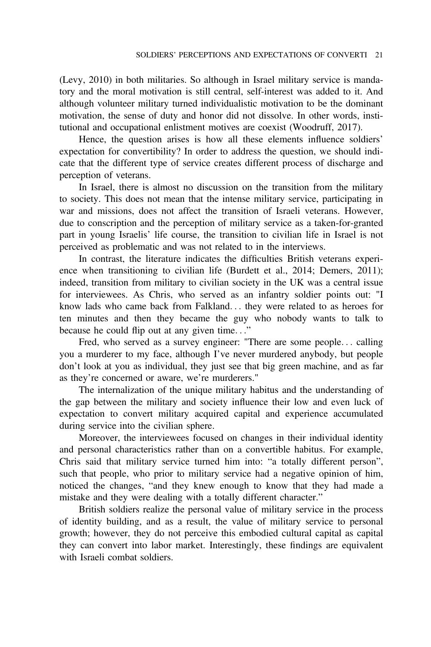(Levy, 2010) in both militaries. So although in Israel military service is mandatory and the moral motivation is still central, self-interest was added to it. And although volunteer military turned individualistic motivation to be the dominant motivation, the sense of duty and honor did not dissolve. In other words, institutional and occupational enlistment motives are coexist (Woodruff, 2017).

Hence, the question arises is how all these elements influence soldiers' expectation for convertibility? In order to address the question, we should indicate that the different type of service creates different process of discharge and perception of veterans.

In Israel, there is almost no discussion on the transition from the military to society. This does not mean that the intense military service, participating in war and missions, does not affect the transition of Israeli veterans. However, due to conscription and the perception of military service as a taken-for-granted part in young Israelis' life course, the transition to civilian life in Israel is not perceived as problematic and was not related to in the interviews.

In contrast, the literature indicates the difficulties British veterans experience when transitioning to civilian life (Burdett et al., 2014; Demers, 2011); indeed, transition from military to civilian society in the UK was a central issue for interviewees. As Chris, who served as an infantry soldier points out: "I know lads who came back from Falkland... they were related to as heroes for ten minutes and then they became the guy who nobody wants to talk to because he could flip out at any given time..."

Fred, who served as a survey engineer: "There are some people... calling you a murderer to my face, although I've never murdered anybody, but people don't look at you as individual, they just see that big green machine, and as far as they're concerned or aware, we're murderers."

The internalization of the unique military habitus and the understanding of the gap between the military and society influence their low and even luck of expectation to convert military acquired capital and experience accumulated during service into the civilian sphere.

Moreover, the interviewees focused on changes in their individual identity and personal characteristics rather than on a convertible habitus. For example, Chris said that military service turned him into: "a totally different person", such that people, who prior to military service had a negative opinion of him, noticed the changes, "and they knew enough to know that they had made a mistake and they were dealing with a totally different character."

British soldiers realize the personal value of military service in the process of identity building, and as a result, the value of military service to personal growth; however, they do not perceive this embodied cultural capital as capital they can convert into labor market. Interestingly, these findings are equivalent with Israeli combat soldiers.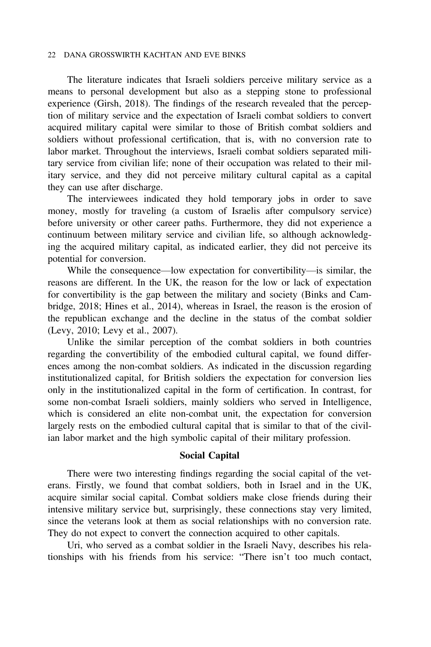The literature indicates that Israeli soldiers perceive military service as a means to personal development but also as a stepping stone to professional experience (Girsh, 2018). The findings of the research revealed that the perception of military service and the expectation of Israeli combat soldiers to convert acquired military capital were similar to those of British combat soldiers and soldiers without professional certification, that is, with no conversion rate to labor market. Throughout the interviews, Israeli combat soldiers separated military service from civilian life; none of their occupation was related to their military service, and they did not perceive military cultural capital as a capital they can use after discharge.

The interviewees indicated they hold temporary jobs in order to save money, mostly for traveling (a custom of Israelis after compulsory service) before university or other career paths. Furthermore, they did not experience a continuum between military service and civilian life, so although acknowledging the acquired military capital, as indicated earlier, they did not perceive its potential for conversion.

While the consequence—low expectation for convertibility—is similar, the reasons are different. In the UK, the reason for the low or lack of expectation for convertibility is the gap between the military and society (Binks and Cambridge, 2018; Hines et al., 2014), whereas in Israel, the reason is the erosion of the republican exchange and the decline in the status of the combat soldier (Levy, 2010; Levy et al., 2007).

Unlike the similar perception of the combat soldiers in both countries regarding the convertibility of the embodied cultural capital, we found differences among the non-combat soldiers. As indicated in the discussion regarding institutionalized capital, for British soldiers the expectation for conversion lies only in the institutionalized capital in the form of certification. In contrast, for some non-combat Israeli soldiers, mainly soldiers who served in Intelligence, which is considered an elite non-combat unit, the expectation for conversion largely rests on the embodied cultural capital that is similar to that of the civilian labor market and the high symbolic capital of their military profession.

### Social Capital

There were two interesting findings regarding the social capital of the veterans. Firstly, we found that combat soldiers, both in Israel and in the UK, acquire similar social capital. Combat soldiers make close friends during their intensive military service but, surprisingly, these connections stay very limited, since the veterans look at them as social relationships with no conversion rate. They do not expect to convert the connection acquired to other capitals.

Uri, who served as a combat soldier in the Israeli Navy, describes his relationships with his friends from his service: "There isn't too much contact,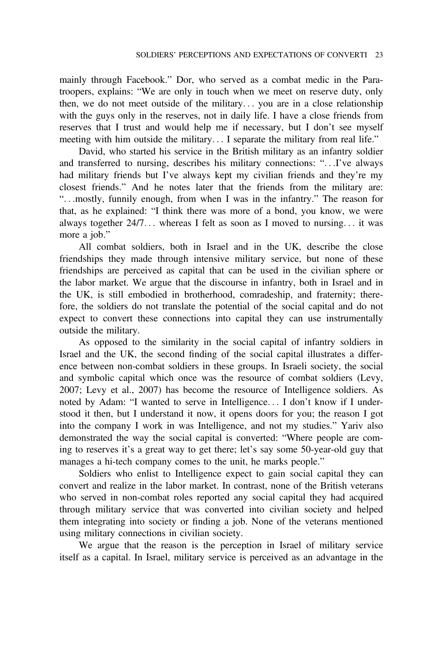mainly through Facebook." Dor, who served as a combat medic in the Paratroopers, explains: "We are only in touch when we meet on reserve duty, only then, we do not meet outside of the military... you are in a close relationship with the guys only in the reserves, not in daily life. I have a close friends from reserves that I trust and would help me if necessary, but I don't see myself meeting with him outside the military... I separate the military from real life."

David, who started his service in the British military as an infantry soldier and transferred to nursing, describes his military connections: "...I've always had military friends but I've always kept my civilian friends and they're my closest friends." And he notes later that the friends from the military are: "...mostly, funnily enough, from when I was in the infantry." The reason for that, as he explained: "I think there was more of a bond, you know, we were always together 24/7... whereas I felt as soon as I moved to nursing... it was more a job."

All combat soldiers, both in Israel and in the UK, describe the close friendships they made through intensive military service, but none of these friendships are perceived as capital that can be used in the civilian sphere or the labor market. We argue that the discourse in infantry, both in Israel and in the UK, is still embodied in brotherhood, comradeship, and fraternity; therefore, the soldiers do not translate the potential of the social capital and do not expect to convert these connections into capital they can use instrumentally outside the military.

As opposed to the similarity in the social capital of infantry soldiers in Israel and the UK, the second finding of the social capital illustrates a difference between non-combat soldiers in these groups. In Israeli society, the social and symbolic capital which once was the resource of combat soldiers (Levy, 2007; Levy et al., 2007) has become the resource of Intelligence soldiers. As noted by Adam: "I wanted to serve in Intelligence... I don't know if I understood it then, but I understand it now, it opens doors for you; the reason I got into the company I work in was Intelligence, and not my studies." Yariv also demonstrated the way the social capital is converted: "Where people are coming to reserves it's a great way to get there; let's say some 50-year-old guy that manages a hi-tech company comes to the unit, he marks people."

Soldiers who enlist to Intelligence expect to gain social capital they can convert and realize in the labor market. In contrast, none of the British veterans who served in non-combat roles reported any social capital they had acquired through military service that was converted into civilian society and helped them integrating into society or finding a job. None of the veterans mentioned using military connections in civilian society.

We argue that the reason is the perception in Israel of military service itself as a capital. In Israel, military service is perceived as an advantage in the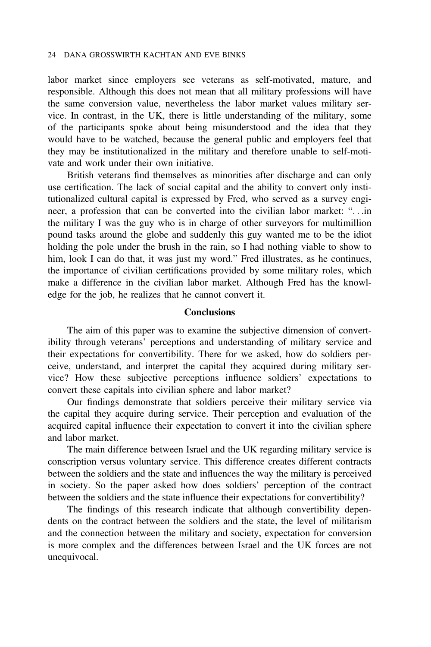labor market since employers see veterans as self-motivated, mature, and responsible. Although this does not mean that all military professions will have the same conversion value, nevertheless the labor market values military service. In contrast, in the UK, there is little understanding of the military, some of the participants spoke about being misunderstood and the idea that they would have to be watched, because the general public and employers feel that they may be institutionalized in the military and therefore unable to self-motivate and work under their own initiative.

British veterans find themselves as minorities after discharge and can only use certification. The lack of social capital and the ability to convert only institutionalized cultural capital is expressed by Fred, who served as a survey engineer, a profession that can be converted into the civilian labor market: "...in the military I was the guy who is in charge of other surveyors for multimillion pound tasks around the globe and suddenly this guy wanted me to be the idiot holding the pole under the brush in the rain, so I had nothing viable to show to him, look I can do that, it was just my word." Fred illustrates, as he continues, the importance of civilian certifications provided by some military roles, which make a difference in the civilian labor market. Although Fred has the knowledge for the job, he realizes that he cannot convert it.

## **Conclusions**

The aim of this paper was to examine the subjective dimension of convertibility through veterans' perceptions and understanding of military service and their expectations for convertibility. There for we asked, how do soldiers perceive, understand, and interpret the capital they acquired during military service? How these subjective perceptions influence soldiers' expectations to convert these capitals into civilian sphere and labor market?

Our findings demonstrate that soldiers perceive their military service via the capital they acquire during service. Their perception and evaluation of the acquired capital influence their expectation to convert it into the civilian sphere and labor market.

The main difference between Israel and the UK regarding military service is conscription versus voluntary service. This difference creates different contracts between the soldiers and the state and influences the way the military is perceived in society. So the paper asked how does soldiers' perception of the contract between the soldiers and the state influence their expectations for convertibility?

The findings of this research indicate that although convertibility dependents on the contract between the soldiers and the state, the level of militarism and the connection between the military and society, expectation for conversion is more complex and the differences between Israel and the UK forces are not unequivocal.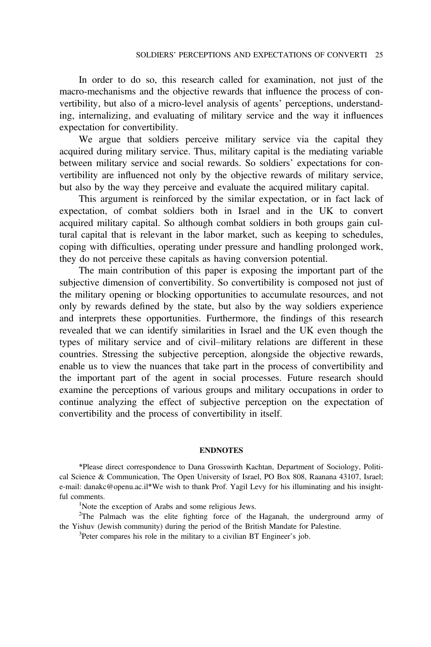In order to do so, this research called for examination, not just of the macro-mechanisms and the objective rewards that influence the process of convertibility, but also of a micro-level analysis of agents' perceptions, understanding, internalizing, and evaluating of military service and the way it influences expectation for convertibility.

We argue that soldiers perceive military service via the capital they acquired during military service. Thus, military capital is the mediating variable between military service and social rewards. So soldiers' expectations for convertibility are influenced not only by the objective rewards of military service, but also by the way they perceive and evaluate the acquired military capital.

This argument is reinforced by the similar expectation, or in fact lack of expectation, of combat soldiers both in Israel and in the UK to convert acquired military capital. So although combat soldiers in both groups gain cultural capital that is relevant in the labor market, such as keeping to schedules, coping with difficulties, operating under pressure and handling prolonged work, they do not perceive these capitals as having conversion potential.

The main contribution of this paper is exposing the important part of the subjective dimension of convertibility. So convertibility is composed not just of the military opening or blocking opportunities to accumulate resources, and not only by rewards defined by the state, but also by the way soldiers experience and interprets these opportunities. Furthermore, the findings of this research revealed that we can identify similarities in Israel and the UK even though the types of military service and of civil–military relations are different in these countries. Stressing the subjective perception, alongside the objective rewards, enable us to view the nuances that take part in the process of convertibility and the important part of the agent in social processes. Future research should examine the perceptions of various groups and military occupations in order to continue analyzing the effect of subjective perception on the expectation of convertibility and the process of convertibility in itself.

## ENDNOTES

\*Please direct correspondence to Dana Grosswirth Kachtan, Department of Sociology, Political Science & Communication, The Open University of Israel, PO Box 808, Raanana 43107, Israel; e-mail: [danakc@openu.ac.il](mailto:)\*We wish to thank Prof. Yagil Levy for his illuminating and his insightful comments.

<sup>1</sup>Note the exception of Arabs and some religious Jews.

<sup>2</sup>The Palmach was the elite fighting force of the Haganah, the underground army of the Yishuv (Jewish community) during the period of the British Mandate for Palestine.

 $3$ Peter compares his role in the military to a civilian BT Engineer's job.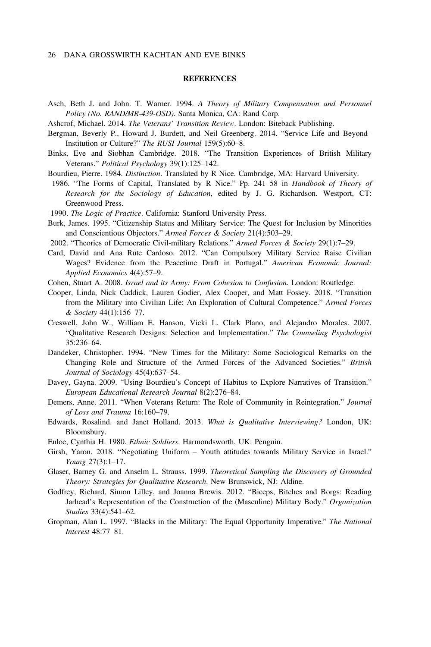### **REFERENCES**

- Asch, Beth J. and John. T. Warner. 1994. A Theory of Military Compensation and Personnel Policy (No. RAND/MR-439-OSD). Santa Monica, CA: Rand Corp.
- Ashcrof, Michael. 2014. The Veterans' Transition Review. London: Biteback Publishing.
- Bergman, Beverly P., Howard J. Burdett, and Neil Greenberg. 2014. "Service Life and Beyond– Institution or Culture?" The RUSI Journal 159(5):60–8.
- Binks, Eve and Siobhan Cambridge. 2018. "The Transition Experiences of British Military Veterans." Political Psychology 39(1):125–142.
- Bourdieu, Pierre. 1984. Distinction. Translated by R Nice. Cambridge, MA: Harvard University.
- 1986. "The Forms of Capital, Translated by R Nice." Pp. 241–58 in Handbook of Theory of Research for the Sociology of Education, edited by J. G. Richardson. Westport, CT: Greenwood Press.
- 1990. The Logic of Practice. California: Stanford University Press.
- Burk, James. 1995. "Citizenship Status and Military Service: The Quest for Inclusion by Minorities and Conscientious Objectors." Armed Forces & Society 21(4):503–29.
- 2002. "Theories of Democratic Civil-military Relations." Armed Forces & Society 29(1):7–29.
- Card, David and Ana Rute Cardoso. 2012. "Can Compulsory Military Service Raise Civilian Wages? Evidence from the Peacetime Draft in Portugal." American Economic Journal: Applied Economics 4(4):57–9.
- Cohen, Stuart A. 2008. Israel and its Army: From Cohesion to Confusion. London: Routledge.
- Cooper, Linda, Nick Caddick, Lauren Godier, Alex Cooper, and Matt Fossey. 2018. "Transition from the Military into Civilian Life: An Exploration of Cultural Competence." Armed Forces & Society 44(1):156–77.
- Creswell, John W., William E. Hanson, Vicki L. Clark Plano, and Alejandro Morales. 2007. "Qualitative Research Designs: Selection and Implementation." The Counseling Psychologist 35:236–64.
- Dandeker, Christopher. 1994. "New Times for the Military: Some Sociological Remarks on the Changing Role and Structure of the Armed Forces of the Advanced Societies." British Journal of Sociology 45(4):637–54.
- Davey, Gayna. 2009. "Using Bourdieu's Concept of Habitus to Explore Narratives of Transition." European Educational Research Journal 8(2):276–84.
- Demers, Anne. 2011. "When Veterans Return: The Role of Community in Reintegration." Journal of Loss and Trauma 16:160–79.
- Edwards, Rosalind. and Janet Holland. 2013. What is Qualitative Interviewing? London, UK: Bloomsbury.
- Enloe, Cynthia H. 1980. Ethnic Soldiers. Harmondsworth, UK: Penguin.
- Girsh, Yaron. 2018. "Negotiating Uniform Youth attitudes towards Military Service in Israel." Young 27(3):1–17.
- Glaser, Barney G. and Anselm L. Strauss. 1999. Theoretical Sampling the Discovery of Grounded Theory: Strategies for Qualitative Research. New Brunswick, NJ: Aldine.
- Godfrey, Richard, Simon Lilley, and Joanna Brewis. 2012. "Biceps, Bitches and Borgs: Reading Jarhead's Representation of the Construction of the (Masculine) Military Body." Organization Studies 33(4):541–62.
- Gropman, Alan L. 1997. "Blacks in the Military: The Equal Opportunity Imperative." The National Interest 48:77–81.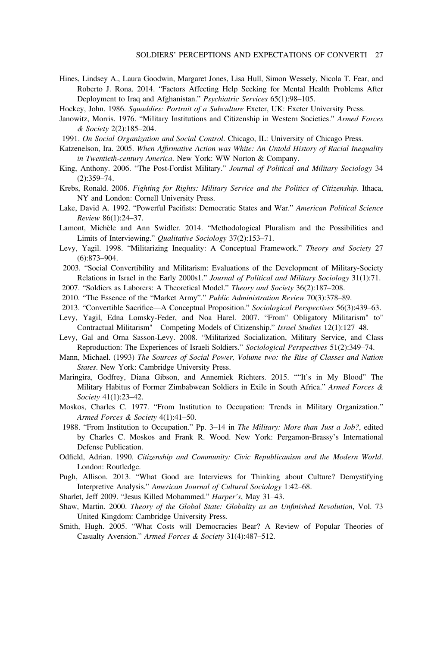- Hines, Lindsey A., Laura Goodwin, Margaret Jones, Lisa Hull, Simon Wessely, Nicola T. Fear, and Roberto J. Rona. 2014. "Factors Affecting Help Seeking for Mental Health Problems After Deployment to Iraq and Afghanistan." Psychiatric Services 65(1):98–105.
- Hockey, John. 1986. Squaddies: Portrait of a Subculture Exeter, UK: Exeter University Press.
- Janowitz, Morris. 1976. "Military Institutions and Citizenship in Western Societies." Armed Forces & Society 2(2):185–204.
- 1991. On Social Organization and Social Control. Chicago, IL: University of Chicago Press.
- Katzenelson, Ira. 2005. When Affirmative Action was White: An Untold History of Racial Inequality in Twentieth-century America. New York: WW Norton & Company.
- King, Anthony. 2006. "The Post-Fordist Military." Journal of Political and Military Sociology 34 (2):359–74.
- Krebs, Ronald. 2006. Fighting for Rights: Military Service and the Politics of Citizenship. Ithaca, NY and London: Cornell University Press.
- Lake, David A. 1992. "Powerful Pacifists: Democratic States and War." American Political Science Review 86(1):24–37.
- Lamont, Michèle and Ann Swidler. 2014. "Methodological Pluralism and the Possibilities and Limits of Interviewing." Qualitative Sociology 37(2):153–71.
- Levy, Yagil. 1998. "Militarizing Inequality: A Conceptual Framework." Theory and Society 27 (6):873–904.
- 2003. "Social Convertibility and Militarism: Evaluations of the Development of Military-Society Relations in Israel in the Early 2000s1." Journal of Political and Military Sociology 31(1):71.
- 2007. "Soldiers as Laborers: A Theoretical Model." Theory and Society 36(2):187–208.
- 2010. "The Essence of the "Market Army"." Public Administration Review 70(3):378–89.
- 2013. "Convertible Sacrifice—A Conceptual Proposition." Sociological Perspectives 56(3):439–63.
- Levy, Yagil, Edna Lomsky-Feder, and Noa Harel. 2007. "From" Obligatory Militarism" to" Contractual Militarism"—Competing Models of Citizenship." Israel Studies 12(1):127–48.
- Levy, Gal and Orna Sasson-Levy. 2008. "Militarized Socialization, Military Service, and Class Reproduction: The Experiences of Israeli Soldiers." Sociological Perspectives 51(2):349–74.
- Mann, Michael. (1993) The Sources of Social Power, Volume two: the Rise of Classes and Nation States. New York: Cambridge University Press.
- Maringira, Godfrey, Diana Gibson, and Annemiek Richters. 2015. ""It's in My Blood" The Military Habitus of Former Zimbabwean Soldiers in Exile in South Africa." Armed Forces & Society 41(1):23–42.
- Moskos, Charles C. 1977. "From Institution to Occupation: Trends in Military Organization." Armed Forces & Society 4(1):41–50.
- 1988. "From Institution to Occupation." Pp. 3-14 in The Military: More than Just a Job?, edited by Charles C. Moskos and Frank R. Wood. New York: Pergamon-Brassy's International Defense Publication.
- Odfield, Adrian. 1990. Citizenship and Community: Civic Republicanism and the Modern World. London: Routledge.
- Pugh, Allison. 2013. "What Good are Interviews for Thinking about Culture? Demystifying Interpretive Analysis." American Journal of Cultural Sociology 1:42–68.
- Sharlet, Jeff 2009. "Jesus Killed Mohammed." Harper's, May 31–43.
- Shaw, Martin. 2000. Theory of the Global State: Globality as an Unfinished Revolution, Vol. 73 United Kingdom: Cambridge University Press.
- Smith, Hugh. 2005. "What Costs will Democracies Bear? A Review of Popular Theories of Casualty Aversion." Armed Forces & Society 31(4):487–512.